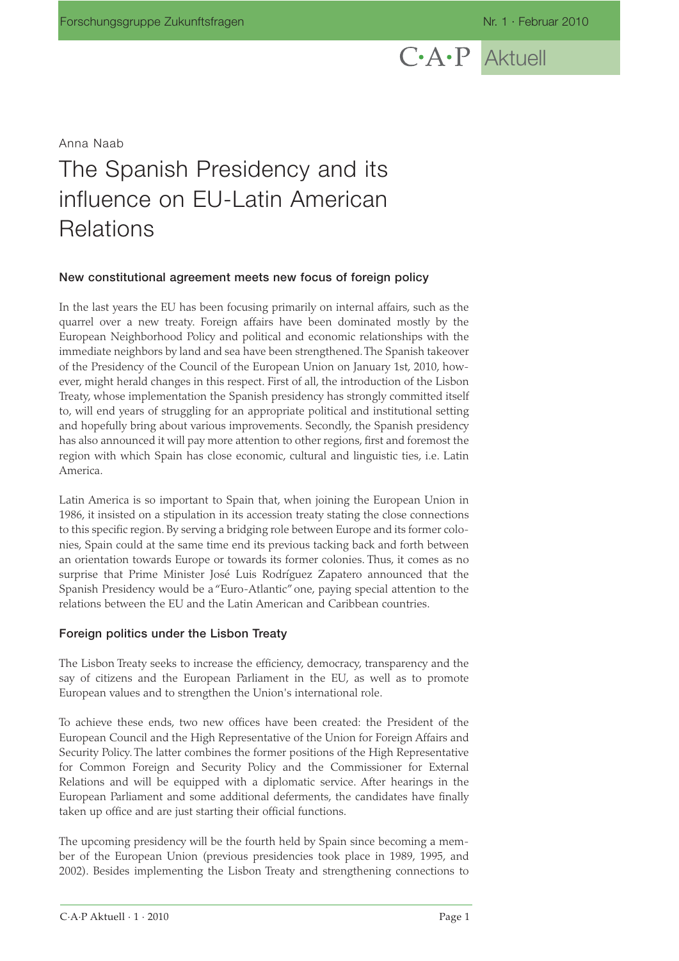# $C\cdot A\cdot P$  Aktuell

Anna Naab

## The Spanish Presidency and its influence on EU-Latin American **Relations**

#### **New constitutional agreement meets new focus of foreign policy**

In the last years the EU has been focusing primarily on internal affairs, such as the quarrel over a new treaty. Foreign affairs have been dominated mostly by the European Neighborhood Policy and political and economic relationships with the immediate neighbors by land and sea have been strengthened.The Spanish takeover of the Presidency of the Council of the European Union on January 1st, 2010, however, might herald changes in this respect. First of all, the introduction of the Lisbon Treaty, whose implementation the Spanish presidency has strongly committed itself to, will end years of struggling for an appropriate political and institutional setting and hopefully bring about various improvements. Secondly, the Spanish presidency has also announced it will pay more attention to other regions, first and foremost the region with which Spain has close economic, cultural and linguistic ties, i.e. Latin America.

Latin America is so important to Spain that, when joining the European Union in 1986, it insisted on a stipulation in its accession treaty stating the close connections to this specific region. By serving a bridging role between Europe and its former colonies, Spain could at the same time end its previous tacking back and forth between an orientation towards Europe or towards its former colonies. Thus, it comes as no surprise that Prime Minister José Luis Rodríguez Zapatero announced that the Spanish Presidency would be a "Euro-Atlantic" one, paying special attention to the relations between the EU and the Latin American and Caribbean countries.

#### **Foreign politics under the Lisbon Treaty**

The Lisbon Treaty seeks to increase the efficiency, democracy, transparency and the say of citizens and the European Parliament in the EU, as well as to promote European values and to strengthen the Union's international role.

To achieve these ends, two new offices have been created: the President of the European Council and the High Representative of the Union for Foreign Affairs and Security Policy. The latter combines the former positions of the High Representative for Common Foreign and Security Policy and the Commissioner for External Relations and will be equipped with a diplomatic service. After hearings in the European Parliament and some additional deferments, the candidates have finally taken up office and are just starting their official functions.

The upcoming presidency will be the fourth held by Spain since becoming a member of the European Union (previous presidencies took place in 1989, 1995, and 2002). Besides implementing the Lisbon Treaty and strengthening connections to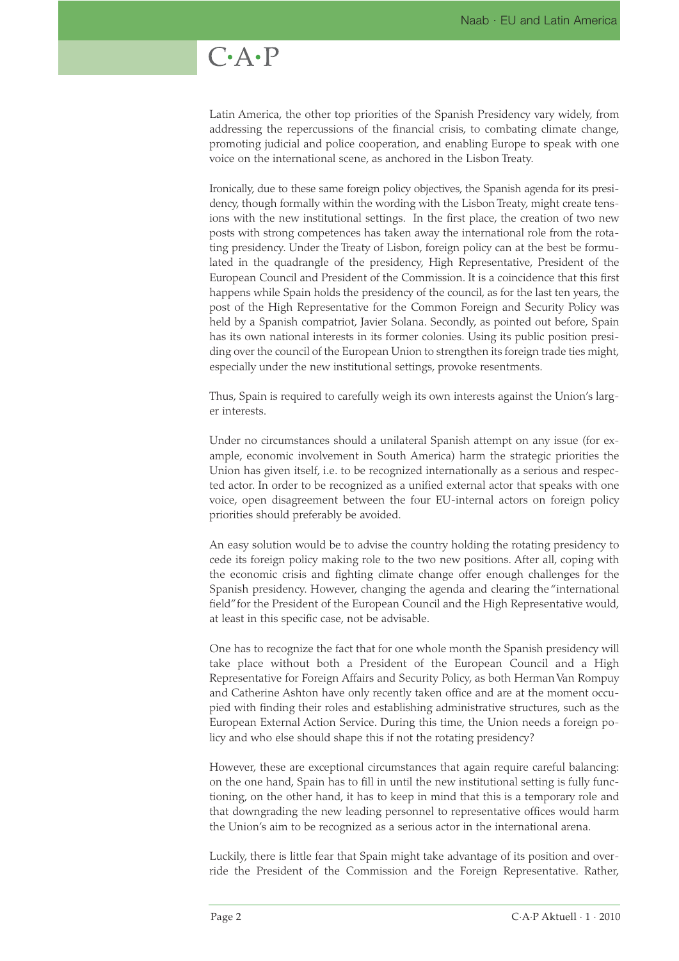### $C \cdot A \cdot P$

Latin America, the other top priorities of the Spanish Presidency vary widely, from addressing the repercussions of the financial crisis, to combating climate change, promoting judicial and police cooperation, and enabling Europe to speak with one voice on the international scene, as anchored in the Lisbon Treaty.

Ironically, due to these same foreign policy objectives, the Spanish agenda for its presidency, though formally within the wording with the Lisbon Treaty, might create tensions with the new institutional settings. In the first place, the creation of two new posts with strong competences has taken away the international role from the rotating presidency. Under the Treaty of Lisbon, foreign policy can at the best be formulated in the quadrangle of the presidency, High Representative, President of the European Council and President of the Commission. It is a coincidence that this first happens while Spain holds the presidency of the council, as for the last ten years, the post of the High Representative for the Common Foreign and Security Policy was held by a Spanish compatriot, Javier Solana. Secondly, as pointed out before, Spain has its own national interests in its former colonies. Using its public position presiding over the council of the European Union to strengthen its foreign trade ties might, especially under the new institutional settings, provoke resentments.

Thus, Spain is required to carefully weigh its own interests against the Union's larger interests.

Under no circumstances should a unilateral Spanish attempt on any issue (for example, economic involvement in South America) harm the strategic priorities the Union has given itself, i.e. to be recognized internationally as a serious and respected actor. In order to be recognized as a unified external actor that speaks with one voice, open disagreement between the four EU-internal actors on foreign policy priorities should preferably be avoided.

An easy solution would be to advise the country holding the rotating presidency to cede its foreign policy making role to the two new positions. After all, coping with the economic crisis and fighting climate change offer enough challenges for the Spanish presidency. However, changing the agenda and clearing the "international field"for the President of the European Council and the High Representative would, at least in this specific case, not be advisable.

One has to recognize the fact that for one whole month the Spanish presidency will take place without both a President of the European Council and a High Representative for Foreign Affairs and Security Policy, as both Herman Van Rompuy and Catherine Ashton have only recently taken office and are at the moment occupied with finding their roles and establishing administrative structures, such as the European External Action Service. During this time, the Union needs a foreign policy and who else should shape this if not the rotating presidency?

However, these are exceptional circumstances that again require careful balancing: on the one hand, Spain has to fill in until the new institutional setting is fully functioning, on the other hand, it has to keep in mind that this is a temporary role and that downgrading the new leading personnel to representative offices would harm the Union's aim to be recognized as a serious actor in the international arena.

Luckily, there is little fear that Spain might take advantage of its position and override the President of the Commission and the Foreign Representative. Rather,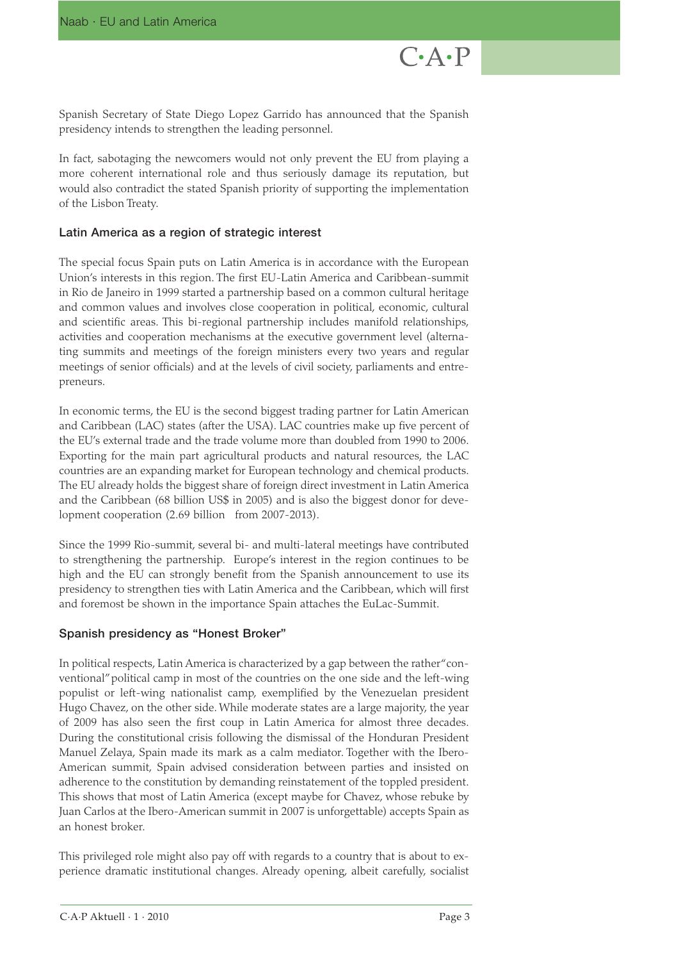Spanish Secretary of State Diego Lopez Garrido has announced that the Spanish presidency intends to strengthen the leading personnel.

In fact, sabotaging the newcomers would not only prevent the EU from playing a more coherent international role and thus seriously damage its reputation, but would also contradict the stated Spanish priority of supporting the implementation of the Lisbon Treaty.

#### **Latin America as a region of strategic interest**

The special focus Spain puts on Latin America is in accordance with the European Union's interests in this region. The first EU-Latin America and Caribbean-summit in Rio de Janeiro in 1999 started a partnership based on a common cultural heritage and common values and involves close cooperation in political, economic, cultural and scientific areas. This bi-regional partnership includes manifold relationships, activities and cooperation mechanisms at the executive government level (alternating summits and meetings of the foreign ministers every two years and regular meetings of senior officials) and at the levels of civil society, parliaments and entrepreneurs.

In economic terms, the EU is the second biggest trading partner for Latin American and Caribbean (LAC) states (after the USA). LAC countries make up five percent of the EU's external trade and the trade volume more than doubled from 1990 to 2006. Exporting for the main part agricultural products and natural resources, the LAC countries are an expanding market for European technology and chemical products. The EU already holds the biggest share of foreign direct investment in Latin America and the Caribbean (68 billion US\$ in 2005) and is also the biggest donor for development cooperation (2.69 billion from 2007-2013).

Since the 1999 Rio-summit, several bi- and multi-lateral meetings have contributed to strengthening the partnership. Europe's interest in the region continues to be high and the EU can strongly benefit from the Spanish announcement to use its presidency to strengthen ties with Latin America and the Caribbean, which will first and foremost be shown in the importance Spain attaches the EuLac-Summit.

#### **Spanish presidency as "Honest Broker"**

In political respects, Latin America is characterized by a gap between the rather"conventional"political camp in most of the countries on the one side and the left-wing populist or left-wing nationalist camp, exemplified by the Venezuelan president Hugo Chavez, on the other side. While moderate states are a large majority, the year of 2009 has also seen the first coup in Latin America for almost three decades. During the constitutional crisis following the dismissal of the Honduran President Manuel Zelaya, Spain made its mark as a calm mediator. Together with the Ibero-American summit, Spain advised consideration between parties and insisted on adherence to the constitution by demanding reinstatement of the toppled president. This shows that most of Latin America (except maybe for Chavez, whose rebuke by Juan Carlos at the Ibero-American summit in 2007 is unforgettable) accepts Spain as an honest broker.

This privileged role might also pay off with regards to a country that is about to experience dramatic institutional changes. Already opening, albeit carefully, socialist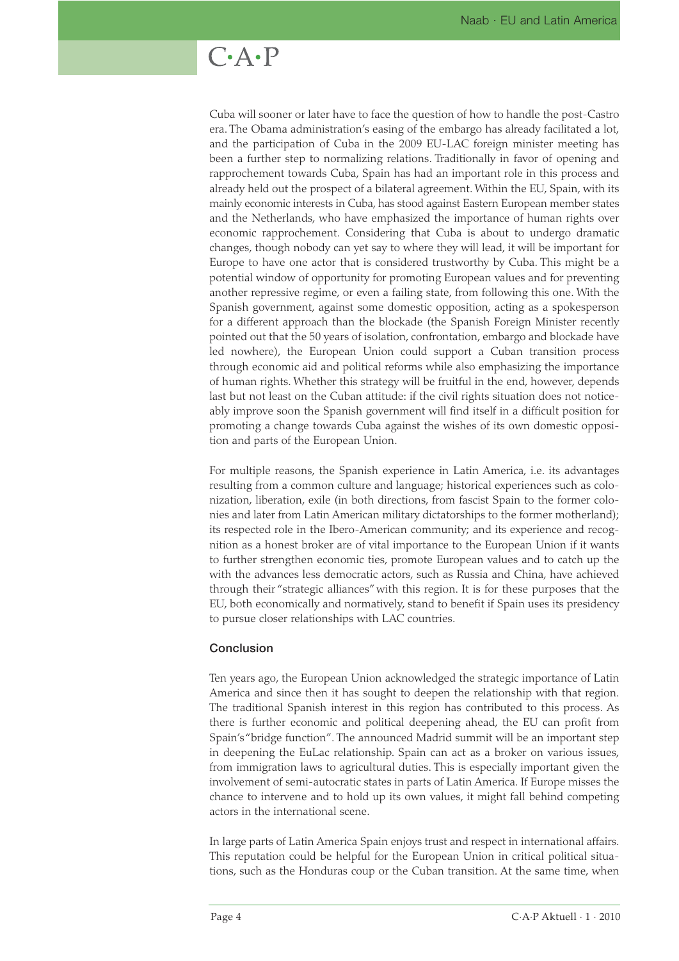## $C \cdot A \cdot P$

Cuba will sooner or later have to face the question of how to handle the post-Castro era. The Obama administration's easing of the embargo has already facilitated a lot, and the participation of Cuba in the 2009 EU-LAC foreign minister meeting has been a further step to normalizing relations. Traditionally in favor of opening and rapprochement towards Cuba, Spain has had an important role in this process and already held out the prospect of a bilateral agreement. Within the EU, Spain, with its mainly economic interests in Cuba, has stood against Eastern European member states and the Netherlands, who have emphasized the importance of human rights over economic rapprochement. Considering that Cuba is about to undergo dramatic changes, though nobody can yet say to where they will lead, it will be important for Europe to have one actor that is considered trustworthy by Cuba. This might be a potential window of opportunity for promoting European values and for preventing another repressive regime, or even a failing state, from following this one. With the Spanish government, against some domestic opposition, acting as a spokesperson for a different approach than the blockade (the Spanish Foreign Minister recently pointed out that the 50 years of isolation, confrontation, embargo and blockade have led nowhere), the European Union could support a Cuban transition process through economic aid and political reforms while also emphasizing the importance of human rights. Whether this strategy will be fruitful in the end, however, depends last but not least on the Cuban attitude: if the civil rights situation does not noticeably improve soon the Spanish government will find itself in a difficult position for promoting a change towards Cuba against the wishes of its own domestic opposition and parts of the European Union.

For multiple reasons, the Spanish experience in Latin America, i.e. its advantages resulting from a common culture and language; historical experiences such as colonization, liberation, exile (in both directions, from fascist Spain to the former colonies and later from Latin American military dictatorships to the former motherland); its respected role in the Ibero-American community; and its experience and recognition as a honest broker are of vital importance to the European Union if it wants to further strengthen economic ties, promote European values and to catch up the with the advances less democratic actors, such as Russia and China, have achieved through their "strategic alliances" with this region. It is for these purposes that the EU, both economically and normatively, stand to benefit if Spain uses its presidency to pursue closer relationships with LAC countries.

#### **Conclusion**

Ten years ago, the European Union acknowledged the strategic importance of Latin America and since then it has sought to deepen the relationship with that region. The traditional Spanish interest in this region has contributed to this process. As there is further economic and political deepening ahead, the EU can profit from Spain's "bridge function". The announced Madrid summit will be an important step in deepening the EuLac relationship. Spain can act as a broker on various issues, from immigration laws to agricultural duties. This is especially important given the involvement of semi-autocratic states in parts of Latin America. If Europe misses the chance to intervene and to hold up its own values, it might fall behind competing actors in the international scene.

In large parts of Latin America Spain enjoys trust and respect in international affairs. This reputation could be helpful for the European Union in critical political situations, such as the Honduras coup or the Cuban transition. At the same time, when